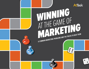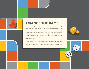

## CHANGE THE GAME

When you started the game of marketing, you had brilliant ideas and the work ethic of a warrior. You felt undefeatable. Now, you are tired, frustrated, and overwhelmed.

Like a real-life board game, you can get sent backward, move ahead, or lose a turn at any moment in the world of marketing. Often, unpredictability and chaos abound, making work more a game of chance than strategy. While the project goals and individual tasks may change, the process stays the same—hold a kickoff meeting, develop a plan of attack, assign tasks, and set a completion date. Then, roll the dice and hope for the best.

There is a way to change the game. In this ebook, you will learn six key strategies to eliminate work chaos and gain control of the board. No more rolling the dice. It is now a game of chess, where creativity and strategic execution are the keys to winning.

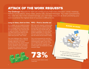## ATTACK OF THE WORK REQUESTS

**The Challenge:** Requests for work are coming at you from every direction—email, meetings, hallway conversations, sticky notes, phone calls, and text messages. You make spreadsheets. You write lists. But in the constant barrage, you can't keep track of it all. Even prioritizing your work to achieve the highest level of success is difficult to do.

### **Long on ideas, short on time FIFO – First in, favorite out**

As a marketer, you are creative by nature and have an abundance of great ideas, but not enough time to see every idea through to fruition. Your resources and budgets are limited. This means that new ideas need to be vetted for their ability to meet strategic objectives, rather than just their "wow" factor.

Your next challenge, then, is figuring out how to prioritize work to achieve strategic objectives. Of course, everybody thinks their request should be your top priority. And if you push out one deadline in favor of another, it could have a domino effect on the deadlines of downstream activities.

With new work requests coming at you every day, you try to defend yourself, but you don't know where to start. So you start with your favorite task, the easiest to complete, the ones with the loudest stakeholders, or even those from your favorite person. Maybe you spin the wheel and see where it lands.

This is not necessarily the work that needs to be done in order to meet the marketing team's goals. Once more, you've rolled the dice and lost. In the end, you're buried in requests and working nights and weekends to make everyone happy.





OF PEOPLE WORK MORE HOURS THAN PAID.



You didn't establish a request management process and were overwhelmed. **LOSE TWO TURNS WHILE YOU CATCH UP.**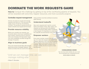## DOMINATE THE WORK REQUESTS GAME

**How to:** Conquer this challenge by getting on top of the overflowing pipeline of requests. You will be rewarded with extra time, happier resources, and more successful projects.

### **Centralize request management**

Choose one place to accept and manage requests and stick to it. This becomes the single source of truth for all marketing activities. The penalty for going around the system is that the new request won't be heard.

#### **Provide resource visibility**

Before you consider any requests, you should be able to check your availability and that of others. Having access to resource skills and schedules will help better target new work availability and filter through the barrage of requests.

### **Align to business goals**

Every new request should align with business goals that are part of strategic initiatives. This weeds out ideas that are cool for the sake of being cool from ones that contribute to business goals directly.

### **Understand tradeoffs**

New work requests don't wait for current tasks to be finished. These, often urgent, new requests can interrupt work in the pipeline causing unnecessary delays. When considering a new request, it's imperative to understand the tradeoffs and downstream work impacts.

### **Empower workers**

Every team member needs to be able to say "no" when the request is not aligned with strategic objectives, won't turn out acceptable ROI, or requires more resources than what are available. Make sure team members have enough visibility into the request to make that decision.



#### **Conquering work**

You now have total visibility into your work. You accelerated your marketing process.

**MOVE AHEAD 10 SPACES.**

*"Until we can manage time, we can manage nothing else."*

**–Peter F. Drucker**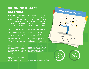## SPINNING PLATES MAYHEM

**The Challenge:** Marketing activities can generate more work than there are hours in a day. You're spinning one plate, then two, then three. You're a good multi-tasker, but when you get up to six, the plates start to wobble. You're starting to find out there is a limit to how much work you can handle.

### **It's all fun and games until someone drops a plate**

There are campaigns and creative briefs, research and advertising the list goes on. There is always far more work to do than hours and people to do it all. Even a high-energy person reaches a point where things begin to fall through the cracks.

A simple campaign is composed of a number of tasks and steps, and involves multiple people. But simple quickly becomes complex when it's just one of your many spinning plates.

In addition to the other work you're doing, you are also involved in a marketing research study and writing the content

for a landing page. To save time, you skipped creating a plan for the campaign—you've done this so many times you could do it in your sleep. But, with so much going on, you forgot some key steps that require lead-time. Now your plates are beginning to crash.

You used to love marketing. Now you're too busy asking for favors, begging forgiveness, working nights and weekends, and rethinking your career path. So much for marketing being fun!

**a 2012 survey by compsych shows that 63% of workers have high levels of stress, with extreme fatigue/feeling out of control and 36% of workers** 

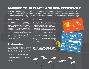## MANAGE YOUR PLATES AND SPIN EFFICIENTLY

How to: The best way to excel at the Spinning Plate game is to develop consistency in your technique. For marketing, that means using a process that ensures every task and every resource is identified the same way every time, whether it's a trade show booth or an email campaign.

### **Achieve consistency**

Although it may seem counterintuitive, taking the extra time to create and follow consistent processes will actually save time in the long run. With so many activities being done by so many different people, consistent processes will ensure that work gets done the right way every time. The added benefit is that everyone knows what is expected from writers, designers, approvers, etc. When they know where they are needed, they can plan their own work more efficiently.

#### **Reap rewards**

By requiring templates and timelines to be used with every request, you can save time by automating repetitive tasks. Additionally, you can more accurately forecast the time needed for each marketing initiative or campaign and be sure nothing gets missed. Be sure to consider holidays, vacations, and company events when planning. Then, roll up each request into a master calendar that shows all deliverables, deadlines, and owners to uncover any issues or constraints. As you improve these templates over time, you will eventually create your own marketing best practices.

### **Develop standards**

The best way to be consistent is to create standard templates and timelines that everyone can follow. Outlining the steps and resources needed for every marketing activity will ensure that you haven't missed critical tasks or done them in the wrong order. Once a template contains all the necessary tasks in the correct order, add timeline thresholds needed to complete each step.

**in 2013, organizations with successful work performance measures (on time, on budget, and goals met) are almost three times more likely than organizations with poor work performance to use standardized practices throughout the organization, and have better outcomes as a result. 3** 3x

**Your marketing materials are on time, on strategy and always wow (not to mention drive business).**

TIME

**BUDGET** 

GOALS

**Take an extra turn.**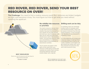## RED ROVER, RED ROVER, SEND YOUR BEST RESOURCE ON OVER!

**The Challenge:** You need to find a creative resource quick! But, resources are limited, budgets are tight, and everyone is busy. You must figure out how to get what you need without upsetting the applecart.



You've run out of resources and now have to beg, borrow and steal.

## **or priorities**

You need a resource, but you have no idea what everyone is doing or whether they have time to work on your request. So you beg, borrow, and steal your way into queues, with little care for what may have been ahead of your work or the business impact. You just know that you need your work finished. it could have a domino effect on the deadlines of downstream activities.

You're not the only player in this game. At the same time, your resource is both being courted with cupcakes by another team member and being asked for help from another player with a big title. EXT RESOURCES<br> **ELAT RESOURCES**<br> **enough time to get their work done.**<br> **e** and being asked for help from<br>
another player with a big title.<br> **enough TIME TO GET THEIR WORK DONE.**<br> **enough TIME TO GET THEIR WORK DONE.**<br> **EN** 

### **No visibility into resources Shifting work can be risky**

In marketing, there are seemingly endless levels of company, team, and individual priorities. These may be based on direction from the top, project timelines, or even emergencies. Needless to say, everyone in marketing is busy!

It's a fine balancing act to keep your resources happy and still get them to do what you need. If you're not careful, deadlines and budgets will get missed and, pretty soon, you'll have stressed out resources who won't stick around for long.

**GO BACK TO START. 66% OF WORKERS SAY THEY DON'T HAVE 66% OF WORKERS SAY THEY DON'T HAVE**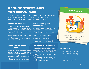## REDUCE STRESS AND WIN RESOURCES

The way to win the hearts and time of your resources is to make sure they feel they can control their workload. The secret is to keep them stress-free so they can be productive.

#### **Reduce the busy work**

Your resources have enough to do without having to spend time on non-productive work. Keep them focused on what they do best and not on fielding last-minute requests and questions about schedules.

Start by establishing a streamlined request management process to ensure that work is initiated the right way. This will reduce the stress that comes from work interruptions.

### **Understand the urgency of every request**

Not every new work request requires an offering of cupcakes. You need to know which requests can slip when last-minute, emergency requests, such as a breaking press release, come into the pipeline. That requires a solid understanding of priorities and deadlines for every existing deliverable and those new ones being requested.

### **Provide visibility into commitments**

No one wants to create additional stress, but sometimes you have no other way to find out if a resource is available than to interrupt and ask. And, if that information isn't shared, resources end up getting asked that question over and over.

Make sure you have a way to communicate to the team what everyone is working on and if they have any available bandwidth.

#### **Allow resources to be people too**

Theoretically, there are eight hours in a workday. Realistically, no one works eight hours non-stop. Aside from lunches and bathroom breaks, today's workers, especially the creative marketing types, need time for brainstorming. Today, 30% of workers have no time at all for thought and reflection during their day. Build padding into all of your resource schedules to account for worker down time.

### **Job well done**



Instead of begging for resources, you're rewarding work done well and on time. **MOVE AHEAD 15 SPACES.**

#### **Employees who report being happiest at work:**

- *Stay twice as long in their jobs*
- *Spend double their time at work focused on what they are paid to do*
- *Take 10 times less sick leave*
- *Believe they are achieving their potential twice as much 6*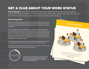## GET A CLUE ABOUT YOUR WORK STATUS

**The Challenge:** Everyone in marketing is busy and what they're working on is a mystery. Solving the mystery requires communicating who's doing what, where, and when. It's not easy to do when communication and collaboration systems aren't working.

### **Who's doing what?**

Walk into any marketing department and you'll instantly feel the buzz of activity. Phones are ringing. Keyboards are clacking. People are heading to meetings. It's a busy place. Everyone is working hard, but do you know what they are actually working on?

The marketing leadership is waiting for your weekly status report. But getting status updates from everyone is like herding cats. You've tried sending email and asking for updates. You will either never get them or statuses will change before the day's end. You've also tried holding standing meetings, but key people miss them due to conflicts or because it interrupts critical work time. Again, you get incomplete and often inaccurate answers that you have to go back and enter into a spreadsheet to email up the chain.

You really don't have a good handle on what anyone is doing at any given moment. You struggle to inform downstream resources when work will be coming.

When the boss asks about getting resources for a new project, you have a hard time knowing when anyone really might be available.



**on average, two in five projects do not meet their original goals and business intent, and one-half of those unsuccessful projects are related to ineffective communications. 7**

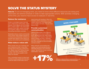## SOLVE THE STATUS MYSTERY

**How to:** To win at managing work, you need to know what different resources are doing and what tasks are behind schedule in order to take appropriate actions. With activities changing all the time, you need to have access to statuses in real-time.

### **Reduce the resistance**

Create a centralized system that lets users collaborate on deliverables, review requests, check statuses, and communicate from a single location. This reduces the disparate email chains, deleted voicemails, and forgotten hallway conversations eliminating information overload.

Standardize what you need to communicate and to whom. Keep update requests to a minimum by asking team members to provide them based on the criteria, frequency, and content you've established.

#### **Make status a value-add**

When people miss your meetings and don't respond to email, it may seem like they don't value your communication. Maybe they don't! Sitting through an hour long status meeting only to provide a two-minute update is definitely not valuable.

Use a centralized system to allow team members to quickly update their task status, review the status of other tasks, and respond easily with feedback. When the members of the organization can easily update and access information about work requests and tasks, they are more likely to do it.

### **Provide customized communication**

Different stakeholders have different things they need to know at different times. Management may need budget information. Staff needs to understand what is coming and when. Campaign managers need to be able to use data from one campaign to more accurately estimate another.

When asking for and providing work updates, you need to provide access to information that gives users what they require. Take the time to learn what your stakeholders' needs are.

**increase in finishing projects within budget.** 

### **Work statuses**



Status updates are automated, freeing you to focus on strategic work. **ROLL AGAIN FOR AN EXTRA TURN.**

**EFFECTIVE COMMUNICATIONS IS ASSOCIATED WITH A 17%**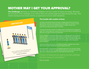## MOTHER MAY I GET YOUR APPROVAL?

**The Challenge:** Working on marketing initiatives can be a series of starts and stops. Because the accuracy of the message is so critical, there are several approval steps along the way. That means having to hunt down and tie up approvers to try to meet deadlines.



### **The trouble with creative reviews**

Just about everything that goes through a marketing department needs to be approved by someone, from project plans and budgets to creative content and graphics. A lot of what marketing does is customer facing, even public-facing. Getting things right is essential.

The approver list often consists of multiple people including senior management, legal, and outside agencies—people who are so busy they can hardly keep up with their own tasks, let alone your approvals.

You try sending an email of the documents you need approved, but you get no response. When you see them in the hallway, it seems like they duck away. You print off copies and drop them at their desk with a sticky note attached that says, "I need these approved ASAP!" You don't see any signs of life, though. Are they on vacation?

One more drive by and you see your approver having a meeting in their office with the door closed. Desperate, you sit outside and wait!

No doubt about it. Tracking down and getting approvals is no easy task. It takes time, which can translate into high internal resource costs and rush fees. The alternative of skipping approvals can create legal and financial risks.

*"Chains of habit are too light to be felt until they are too heavy to be broken."*

**–Warren Buffet**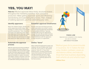# YES, YOU MAY!

**How to:** Effective approvals follow timely, structured reviews throughout the marketing workflow, from concept to production. Make getting approvals quick and efficient by standardizing and automating the process. Then, instead of stalking approvers, you'll be celebrating your wins.

### **Identify approvers**

When the initiative begins, identify who will be approving at each stage, from strategy to creative brief to asset development to production. Then, share the work plan to let approvers know when they might expect to be called upon. Make sure each approver is aware of their role in the process and knows the steps that need to be taken and who to notify.

### **Automate the approval process**

Make the approval process fast and efficient by leveraging technology. Making the process available online can provide a single location that allows approvers to be notified, take action, and provide feedback. Create approval templates to capture necessary task details, reviewer comments, and next steps. These templates will also serve as an audit trail for tracking and legal purposes.

### **Establish approval timeframes**

People work best and things get done when expectations are known. Look at each area requiring approvals and develop an acceptable timeframe. Typically, providing 48-72 hours for approvals is enough, but work with your team to decide the appropriate thresholds. Double-check these timeframes with the approvers so that everyone is in agreement.

### **Define "done"**

When making final approvals to assets and initiatives, be sure to define what "done" looks like. You've seen it—documents saved as "final v4" or "final\_final." Defining done, including standard file names and locations for final versions will help eliminate having 10 "final" versions of a marketing asset. Make sure there is a matching approval for the final versions.



### **Finish-Line**

Approvals were completed on time, keeping your plan on schedule. **JUMP AHEAD OF THE LEADER.**

*"Method goes far to prevent trouble in business: for it makes the task easy, hinders confusion, saves an abundance of time, and instructs those that have business depending, both what to do and what to hope."*

**–William Penn**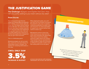## THE JUSTIFICATION GAME

**The Challenge:** Budgets seem tighter than ever. How can you justify adding to your team without any data?

### **Prove it to me**

You barely got through that last assignment, working nights and weekends, and suddenly, you're tossed right into a new one. You simply cannot continue working like that. You need more help! Besides, you have a vacation planned toward the end of this new assignment that you don't want to miss. How will you justify adding more resources to the new work request when management saw you got it done last time?

This is a challenging game!

Marketing budgets are still not what they used to be, but expectations for deliverables haven't changed. The pipeline for marketing deliverables is non-stop.

When playing this game, you can't just hide from the problem and ignore the elephant in the room. It requires continuous justification for dollars, time, and resources. It's nearly impossible to support your request without hard metrics to back it up.

Management wants to know how many resources you need and how much cost it will add to the deliverable. They need to know how adding resources might reduce the timeline. They wonder if you've squeezed the turnip enough to make your processes as efficient as possible. It takes more than selling skills to win this game.

# 3.5% **<sup>4</sup> CMOs ONLY SAW**

**increase in budget**

**although cmos expected an 8% increase in their budgets, they actually only saw 3.5%** 

## **understaffed**

You ignore the resources elephant in the room and hope it will fix itself, resulting in more late nights and missed deadlines. **STAY ON YOUR CURRENT SPACE.**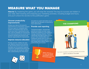## MEASURE WHAT YOU MANAGE

**How to:** By mastering this game, you will reap the rewards! The keys to success are hidden in your data. Start tracking and analyzing your marketing activities, including budget and hours, and you'll unlock the secrets to the justification game.

### **Uncover productivity improvements**

Analyze your data to find areas for improvements to productivity. Compare the hours spent on completed deliverables and individual tasks and see where your team is spending the most time. Look at campaign turn-around time and review planned versus actual hours worked to identify best practices and discover opportunities for improvement.

#### **Improve resource allocation**

Provide real-time visibility into what your different resources are working on. By knowing where resources are allocated, you can present a capacity snapshot to management that shows how much new work can actually be staffed. Also, understanding how many hours



are spent on a given task allows you to better plan the allocation of resources in future deliverables.

### **Provide cost reporting**

Transparent budgets—showing both planned and actual cost data—gives leadership confidence in your ability to manage marketing initiatives. There is nothing like hard data to paint a truthful picture. Track all deliverable costs including the overall costs of a campaign, resource costs per hour, agency costs, and charge-backs. Deliver reports that communicate your success.



### **THE Champions**



Your team completes everything perfectly and on time. **JUMP TO THE END OF THE GAME.**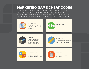## MARKETING GAME CHEAT CODES

When you change marketing from a game of chance to a game of strategy, you will win every time. The best strategy is enterprise work management—a unified process that manages all work activities, with full visibility and two-way collaboration for everyone. Enterprise work management is your game changer.



#### **Centralize**

Plan and track marketing activities and people in one place.



#### **Standardize** Automate repeatable work.



#### **Visibility**

Provide 360-degree transparency into workflow information and communication.



#### **Measure**

Monitor and analyze work activity and cost data.



#### **Collaborate**

Make shared discussions and feedback easy to have.



#### **Reduce**  Streamline requests and processes.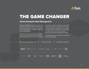

# THE GAME CHANGER

### **AtTask Enterprise Work Management**

Enterprise Work Management is your 'ace in the hole' for unifying and standardizing your tools and processes, helping you to master these and many other workflow challenges in your organization.

AtTask is the only cloud-based enterprise work management solution that provides marketing teams a central place to manage

their entire workflow, eliminating wasted time dealing with fragmented tools and processes. Teams, managers, and executives have visibility into work planning, prioritization, and resourcing to help everyone work more efficiently toward achieving the organization's goals.

Let AtTask show you how you can win at the Game of Marketing.

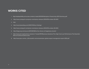### **WORKS CITED**

- 1. http://employerbility.com.au/wp-content/u loads/2013/05/Workplace-Productivity-2013-Summary.pdf
- 2. http://www.compsych.com/press-room/press-releases-2012/678-october-29-2012
- 3. Ibid.
- 4. http://www.basexblog.com/2010/11/04/our-findings/
- 5. http://www.compsych.com/press-room/press-releases-2012/678-october-29-2012
- 6. http://blogs.wsj.com/source/2011/09/18/the-five-drivers-of-happiness-at-work/
- 7. http://www.pmi.org/business-solutions/~/media/PDF/Business-Solutions/The-High-Cost-Low-Performance-The-Essential-Role-of-Communications.ashx
- 8. http://www.pwc.com/en\_US/us/public-sector/assets/pwc-global-project-management-report-2012.pdf